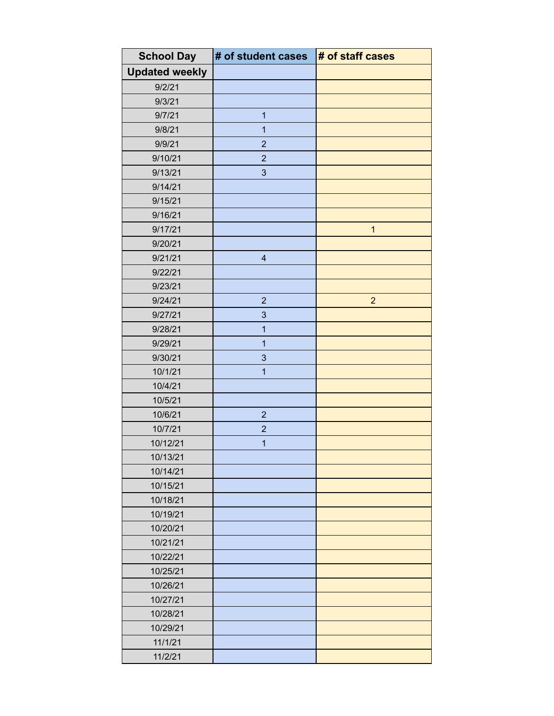| <b>School Day</b>     | # of student cases      | # of staff cases |
|-----------------------|-------------------------|------------------|
| <b>Updated weekly</b> |                         |                  |
| 9/2/21                |                         |                  |
| 9/3/21                |                         |                  |
| 9/7/21                | 1                       |                  |
| 9/8/21                | 1                       |                  |
| 9/9/21                | $\overline{2}$          |                  |
| 9/10/21               | $\overline{2}$          |                  |
| 9/13/21               | 3                       |                  |
| 9/14/21               |                         |                  |
| 9/15/21               |                         |                  |
| 9/16/21               |                         |                  |
| 9/17/21               |                         | $\mathbf{1}$     |
| 9/20/21               |                         |                  |
| 9/21/21               | $\overline{\mathbf{4}}$ |                  |
| 9/22/21               |                         |                  |
| 9/23/21               |                         |                  |
| 9/24/21               | $\overline{2}$          | $\overline{2}$   |
| 9/27/21               | 3                       |                  |
| 9/28/21               | 1                       |                  |
| 9/29/21               | $\mathbf{1}$            |                  |
| 9/30/21               | $\mathbf{3}$            |                  |
| 10/1/21               | 1                       |                  |
| 10/4/21               |                         |                  |
| 10/5/21               |                         |                  |
| 10/6/21               | $\overline{c}$          |                  |
| 10/7/21               | $\overline{c}$          |                  |
| 10/12/21              | 1                       |                  |
| 10/13/21              |                         |                  |
| 10/14/21              |                         |                  |
| 10/15/21              |                         |                  |
| 10/18/21              |                         |                  |
| 10/19/21              |                         |                  |
| 10/20/21              |                         |                  |
| 10/21/21              |                         |                  |
| 10/22/21              |                         |                  |
| 10/25/21              |                         |                  |
| 10/26/21              |                         |                  |
| 10/27/21              |                         |                  |
| 10/28/21              |                         |                  |
| 10/29/21              |                         |                  |
| 11/1/21               |                         |                  |
| 11/2/21               |                         |                  |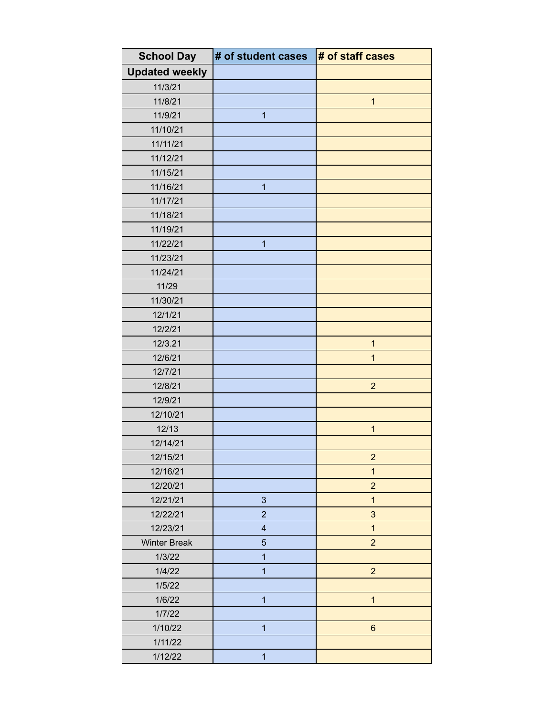| <b>School Day</b>     | # of student cases      | # of staff cases |
|-----------------------|-------------------------|------------------|
| <b>Updated weekly</b> |                         |                  |
| 11/3/21               |                         |                  |
| 11/8/21               |                         | $\mathbf{1}$     |
| 11/9/21               | 1                       |                  |
| 11/10/21              |                         |                  |
| 11/11/21              |                         |                  |
| 11/12/21              |                         |                  |
| 11/15/21              |                         |                  |
| 11/16/21              | $\mathbf{1}$            |                  |
| 11/17/21              |                         |                  |
| 11/18/21              |                         |                  |
| 11/19/21              |                         |                  |
| 11/22/21              | $\mathbf{1}$            |                  |
| 11/23/21              |                         |                  |
| 11/24/21              |                         |                  |
| 11/29                 |                         |                  |
| 11/30/21              |                         |                  |
| 12/1/21               |                         |                  |
| 12/2/21               |                         |                  |
| 12/3.21               |                         | $\mathbf{1}$     |
| 12/6/21               |                         | $\overline{1}$   |
| 12/7/21               |                         |                  |
| 12/8/21               |                         | $\overline{2}$   |
| 12/9/21               |                         |                  |
| 12/10/21              |                         |                  |
| 12/13                 |                         | $\mathbf{1}$     |
| 12/14/21              |                         |                  |
| 12/15/21              |                         | $\overline{c}$   |
| 12/16/21              |                         | $\overline{1}$   |
| 12/20/21              |                         | $\overline{2}$   |
| 12/21/21              | $\mathfrak{S}$          | $\mathbf{1}$     |
| 12/22/21              | $\overline{2}$          | 3                |
| 12/23/21              | $\overline{\mathbf{4}}$ | $\mathbf{1}$     |
| <b>Winter Break</b>   | 5                       | $\overline{2}$   |
| 1/3/22                | $\mathbf{1}$            |                  |
| 1/4/22                | $\overline{1}$          | $\overline{2}$   |
| 1/5/22                |                         |                  |
| 1/6/22                | $\overline{1}$          | $\overline{1}$   |
| 1/7/22                |                         |                  |
| 1/10/22               | $\overline{1}$          | $6\phantom{a}$   |
| 1/11/22               |                         |                  |
| 1/12/22               | $\overline{\mathbf{1}}$ |                  |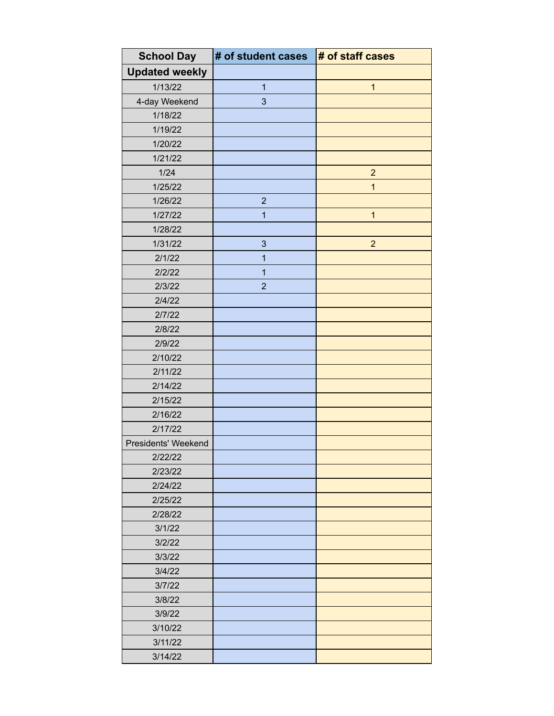| <b>School Day</b>     | # of student cases      | # of staff cases        |
|-----------------------|-------------------------|-------------------------|
| <b>Updated weekly</b> |                         |                         |
| 1/13/22               | $\mathbf{1}$            | $\overline{\mathbf{1}}$ |
| 4-day Weekend         | 3                       |                         |
| 1/18/22               |                         |                         |
| 1/19/22               |                         |                         |
| 1/20/22               |                         |                         |
| 1/21/22               |                         |                         |
| 1/24                  |                         | $\overline{2}$          |
| 1/25/22               |                         | $\overline{1}$          |
| 1/26/22               | $\overline{2}$          |                         |
| 1/27/22               | $\overline{\mathbf{1}}$ | $\mathbf{1}$            |
| 1/28/22               |                         |                         |
| 1/31/22               | 3                       | $\overline{2}$          |
| 2/1/22                | 1                       |                         |
| 2/2/22                | $\overline{\mathbf{1}}$ |                         |
| 2/3/22                | $\overline{2}$          |                         |
| 2/4/22                |                         |                         |
| 2/7/22                |                         |                         |
| 2/8/22                |                         |                         |
| 2/9/22                |                         |                         |
| 2/10/22               |                         |                         |
| 2/11/22               |                         |                         |
| 2/14/22               |                         |                         |
| 2/15/22               |                         |                         |
| 2/16/22               |                         |                         |
| 2/17/22               |                         |                         |
| Presidents' Weekend   |                         |                         |
| 2/22/22               |                         |                         |
| 2/23/22               |                         |                         |
| 2/24/22               |                         |                         |
| 2/25/22               |                         |                         |
| 2/28/22               |                         |                         |
| 3/1/22                |                         |                         |
| 3/2/22                |                         |                         |
| 3/3/22                |                         |                         |
| 3/4/22                |                         |                         |
| 3/7/22                |                         |                         |
| 3/8/22                |                         |                         |
| 3/9/22                |                         |                         |
| 3/10/22               |                         |                         |
| 3/11/22               |                         |                         |
| 3/14/22               |                         |                         |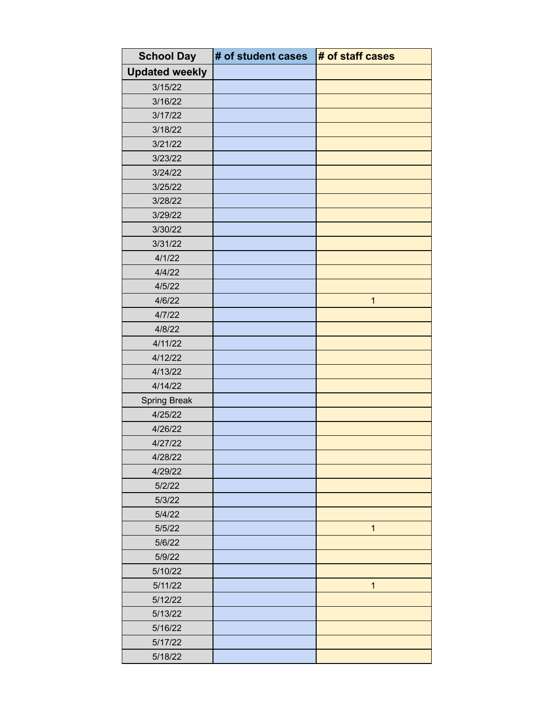| <b>School Day</b>     | # of student cases | # of staff cases |
|-----------------------|--------------------|------------------|
| <b>Updated weekly</b> |                    |                  |
| 3/15/22               |                    |                  |
| 3/16/22               |                    |                  |
| 3/17/22               |                    |                  |
| 3/18/22               |                    |                  |
| 3/21/22               |                    |                  |
| 3/23/22               |                    |                  |
| 3/24/22               |                    |                  |
| 3/25/22               |                    |                  |
| 3/28/22               |                    |                  |
| 3/29/22               |                    |                  |
| 3/30/22               |                    |                  |
| 3/31/22               |                    |                  |
| 4/1/22                |                    |                  |
| 4/4/22                |                    |                  |
| 4/5/22                |                    |                  |
| 4/6/22                |                    | $\mathbf{1}$     |
| 4/7/22                |                    |                  |
| 4/8/22                |                    |                  |
| 4/11/22               |                    |                  |
| 4/12/22               |                    |                  |
| 4/13/22               |                    |                  |
| 4/14/22               |                    |                  |
| Spring Break          |                    |                  |
| 4/25/22               |                    |                  |
| 4/26/22               |                    |                  |
| 4/27/22               |                    |                  |
| 4/28/22               |                    |                  |
| 4/29/22               |                    |                  |
| 5/2/22                |                    |                  |
| 5/3/22                |                    |                  |
| 5/4/22                |                    |                  |
| 5/5/22                |                    | $\mathbf{1}$     |
| 5/6/22                |                    |                  |
| 5/9/22                |                    |                  |
| 5/10/22               |                    |                  |
| 5/11/22               |                    | $\overline{1}$   |
| 5/12/22               |                    |                  |
| 5/13/22               |                    |                  |
| 5/16/22               |                    |                  |
| 5/17/22               |                    |                  |
| 5/18/22               |                    |                  |